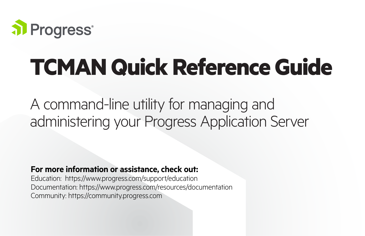

# **TCMAN Quick Reference Guide**

A command-line utility for managing and administering your Progress Application Server

# **For more information or assistance, check out:**

Education: https://www.progress.com/support/education Documentation: https://www.progress.com/resources/documentation Community: https://community.progress.com